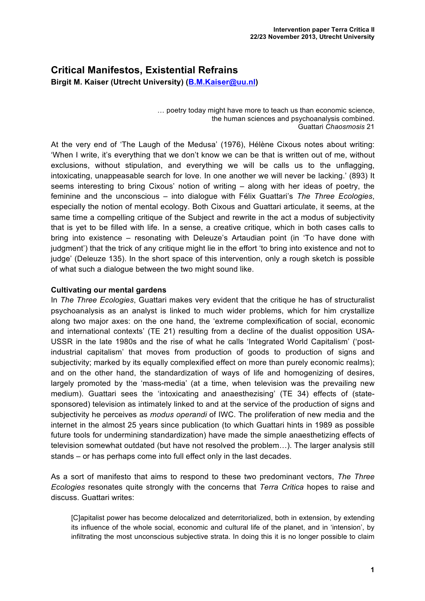# **Critical Manifestos, Existential Refrains Birgit M. Kaiser (Utrecht University) (B.M.Kaiser@uu.nl)**

… poetry today might have more to teach us than economic science, the human sciences and psychoanalysis combined. Guattari *Chaosmosis* 21

At the very end of 'The Laugh of the Medusa' (1976), Hélène Cixous notes about writing: 'When I write, it's everything that we don't know we can be that is written out of me, without exclusions, without stipulation, and everything we will be calls us to the unflagging, intoxicating, unappeasable search for love. In one another we will never be lacking.' (893) It seems interesting to bring Cixous' notion of writing – along with her ideas of poetry, the feminine and the unconscious – into dialogue with Félix Guattari's *The Three Ecologies*, especially the notion of mental ecology. Both Cixous and Guattari articulate, it seems, at the same time a compelling critique of the Subject and rewrite in the act a modus of subjectivity that is yet to be filled with life. In a sense, a creative critique, which in both cases calls to bring into existence – resonating with Deleuze's Artaudian point (in 'To have done with judgment') that the trick of any critique might lie in the effort 'to bring into existence and not to judge' (Deleuze 135). In the short space of this intervention, only a rough sketch is possible of what such a dialogue between the two might sound like.

### **Cultivating our mental gardens**

In *The Three Ecologies*, Guattari makes very evident that the critique he has of structuralist psychoanalysis as an analyst is linked to much wider problems, which for him crystallize along two major axes: on the one hand, the 'extreme complexification of social, economic and international contexts' (TE 21) resulting from a decline of the dualist opposition USA-USSR in the late 1980s and the rise of what he calls 'Integrated World Capitalism' ('postindustrial capitalism' that moves from production of goods to production of signs and subjectivity; marked by its equally complexified effect on more than purely economic realms); and on the other hand, the standardization of ways of life and homogenizing of desires, largely promoted by the 'mass-media' (at a time, when television was the prevailing new medium). Guattari sees the 'intoxicating and anaesthezising' (TE 34) effects of (statesponsored) television as intimately linked to and at the service of the production of signs and subjectivity he perceives as *modus operandi* of IWC. The proliferation of new media and the internet in the almost 25 years since publication (to which Guattari hints in 1989 as possible future tools for undermining standardization) have made the simple anaesthetizing effects of television somewhat outdated (but have not resolved the problem…). The larger analysis still stands – or has perhaps come into full effect only in the last decades.

As a sort of manifesto that aims to respond to these two predominant vectors, *The Three Ecologies* resonates quite strongly with the concerns that *Terra Critica* hopes to raise and discuss. Guattari writes:

[C]apitalist power has become delocalized and deterritorialized, both in extension, by extending its influence of the whole social, economic and cultural life of the planet, and in 'intension', by infiltrating the most unconscious subjective strata. In doing this it is no longer possible to claim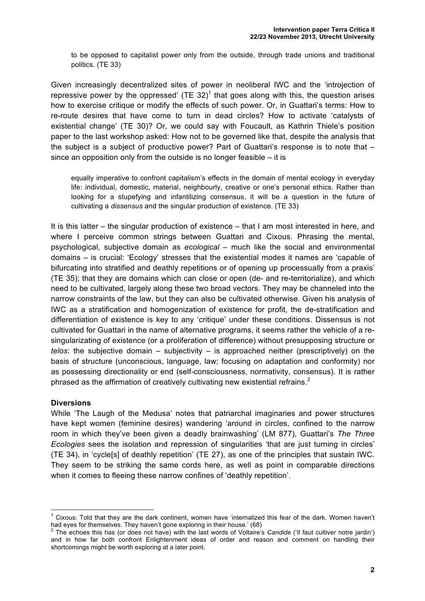to be opposed to capitalist power only from the outside, through trade unions and traditional politics. (TE 33)

Given increasingly decentralized sites of power in neoliberal IWC and the 'introjection of repressive power by the oppressed' (TE 32)<sup>1</sup> that goes along with this, the question arises how to exercise critique or modify the effects of such power. Or, in Guattari's terms: How to re-route desires that have come to turn in dead circles? How to activate 'catalysts of existential change' (TE 30)? Or, we could say with Foucault, as Kathrin Thiele's position paper to the last workshop asked: How not to be governed like that, despite the analysis that the subject is a subject of productive power? Part of Guattari's response is to note that – since an opposition only from the outside is no longer feasible – it is

equally imperative to confront capitalism's effects in the domain of mental ecology in everyday life: individual, domestic, material, neighbourly, creative or one's personal ethics. Rather than looking for a stupefying and infantilizing consensus, it will be a question in the future of cultivating a *dissensus* and the singular production of existence. (TE 33)

It is this latter – the singular production of existence – that I am most interested in here, and where I perceive common strings between Guattari and Cixous. Phrasing the mental, psychological, subjective domain as *ecological* – much like the social and environmental domains – is crucial: 'Ecology' stresses that the existential modes it names are 'capable of bifurcating into stratified and deathly repetitions or of opening up processually from a praxis' (TE 35); that they are domains which can close or open (de- and re-territorialize), and which need to be cultivated, largely along these two broad vectors. They may be channeled into the narrow constraints of the law, but they can also be cultivated otherwise. Given his analysis of IWC as a stratification and homogenization of existence for profit, the de-stratification and differentiation of existence is key to any 'critique' under these conditions. Dissensus is not cultivated for Guattari in the name of alternative programs, it seems rather the vehicle of a resingularizating of existence (or a proliferation of difference) without presupposing structure or *telos*: the subjective domain – subjectivity – is approached neither (prescriptively) on the basis of structure (unconscious, language, law; focusing on adaptation and conformity) nor as possessing directionality or end (self-consciousness, normativity, consensus). It is rather phrased as the affirmation of creatively cultivating new existential refrains.<sup>2</sup>

### **Diversions**

While 'The Laugh of the Medusa' notes that patriarchal imaginaries and power structures have kept women (feminine desires) wandering 'around in circles, confined to the narrow room in which they've been given a deadly brainwashing' (LM 877), Guattari's *The Three Ecologies* sees the isolation and repression of singularities 'that are just turning in circles' (TE 34), in 'cycle[s] of deathly repetition' (TE 27), as one of the principles that sustain IWC. They seem to be striking the same cords here, as well as point in comparable directions when it comes to fleeing these narrow confines of 'deathly repetition'.

 $1$  Cixous: Told that they are the dark continent, women have 'internalized this fear of the dark. Women haven't had eyes for themselves. They haven't gone exploring in their house.' (68)

<sup>2</sup> The echoes this has (or does not have) with the last words of Voltaire's *Candide* ('Il faut cultiver notre jardin') and in how far both confront Enlightenment ideas of order and reason and comment on handling their shortcomings might be worth exploring at a later point.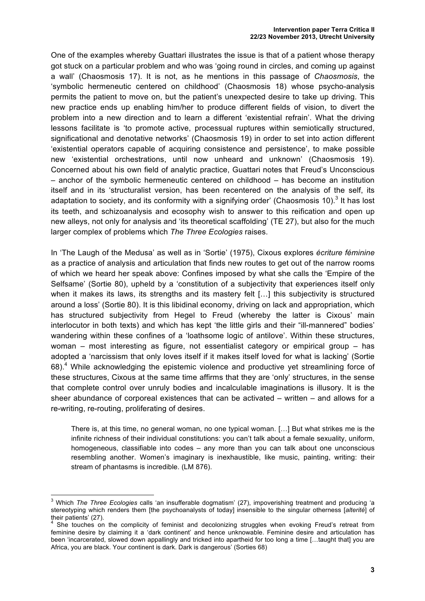One of the examples whereby Guattari illustrates the issue is that of a patient whose therapy got stuck on a particular problem and who was 'going round in circles, and coming up against a wall' (Chaosmosis 17). It is not, as he mentions in this passage of *Chaosmosis*, the 'symbolic hermeneutic centered on childhood' (Chaosmosis 18) whose psycho-analysis permits the patient to move on, but the patient's unexpected desire to take up driving. This new practice ends up enabling him/her to produce different fields of vision, to divert the problem into a new direction and to learn a different 'existential refrain'. What the driving lessons facilitate is 'to promote active, processual ruptures within semiotically structured, significational and denotative networks' (Chaosmosis 19) in order to set into action different 'existential operators capable of acquiring consistence and persistence', to make possible new 'existential orchestrations, until now unheard and unknown' (Chaosmosis 19). Concerned about his own field of analytic practice, Guattari notes that Freud's Unconscious – anchor of the symbolic hermeneutic centered on childhood – has become an institution itself and in its 'structuralist version, has been recentered on the analysis of the self, its adaptation to society, and its conformity with a signifying order' (Chaosmosis 10).<sup>3</sup> It has lost its teeth, and schizoanalysis and ecosophy wish to answer to this reification and open up new alleys, not only for analysis and 'its theoretical scaffolding' (TE 27), but also for the much larger complex of problems which *The Three Ecologies* raises.

In 'The Laugh of the Medusa' as well as in 'Sortie' (1975), Cixous explores *écriture féminine* as a practice of analysis and articulation that finds new routes to get out of the narrow rooms of which we heard her speak above: Confines imposed by what she calls the 'Empire of the Selfsame' (Sortie 80), upheld by a 'constitution of a subjectivity that experiences itself only when it makes its laws, its strengths and its mastery felt [...] this subjectivity is structured around a loss' (Sortie 80). It is this libidinal economy, driving on lack and appropriation, which has structured subjectivity from Hegel to Freud (whereby the latter is Cixous' main interlocutor in both texts) and which has kept 'the little girls and their "ill-mannered" bodies' wandering within these confines of a 'loathsome logic of antilove'. Within these structures, woman – most interesting as figure, not essentialist category or empirical group – has adopted a 'narcissism that only loves itself if it makes itself loved for what is lacking' (Sortie  $68$ ).<sup>4</sup> While acknowledging the epistemic violence and productive yet streamlining force of these structures, Cixous at the same time affirms that they are 'only' structures, in the sense that complete control over unruly bodies and incalculable imaginations is illusory. It is the sheer abundance of corporeal existences that can be activated – written – and allows for a re-writing, re-routing, proliferating of desires.

There is, at this time, no general woman, no one typical woman. […] But what strikes me is the infinite richness of their individual constitutions: you can't talk about a female sexuality, uniform, homogeneous, classifiable into codes – any more than you can talk about one unconscious resembling another. Women's imaginary is inexhaustible, like music, painting, writing: their stream of phantasms is incredible. (LM 876).

 <sup>3</sup> Which *The Three Ecologies* calls 'an insufferable dogmatism' (27), impoverishing treatment and producing 'a stereotyping which renders them [the psychoanalysts of today] insensible to the singular otherness [*alterité*] of their patients' (27).

<sup>4</sup> She touches on the complicity of feminist and decolonizing struggles when evoking Freud's retreat from feminine desire by claiming it a 'dark continent' and hence unknowable. Feminine desire and articulation has been 'incarcerated, slowed down appallingly and tricked into apartheid for too long a time [...taught that] you are Africa, you are black. Your continent is dark. Dark is dangerous' (Sorties 68)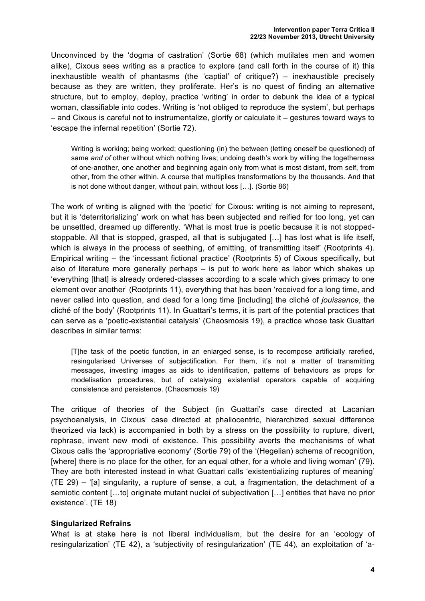Unconvinced by the 'dogma of castration' (Sortie 68) (which mutilates men and women alike), Cixous sees writing as a practice to explore (and call forth in the course of it) this inexhaustible wealth of phantasms (the 'captial' of critique?) – inexhaustible precisely because as they are written, they proliferate. Her's is no quest of finding an alternative structure, but to employ, deploy, practice 'writing' in order to debunk the idea of a typical woman, classifiable into codes. Writing is 'not obliged to reproduce the system', but perhaps – and Cixous is careful not to instrumentalize, glorify or calculate it – gestures toward ways to 'escape the infernal repetition' (Sortie 72).

Writing is working; being worked; questioning (in) the between (letting oneself be questioned) of same *and of* other without which nothing lives; undoing death's work by willing the togetherness of one-another, one another and beginning again only from what is most distant, from self, from other, from the other within. A course that multiplies transformations by the thousands. And that is not done without danger, without pain, without loss […]. (Sortie 86)

The work of writing is aligned with the 'poetic' for Cixous: writing is not aiming to represent, but it is 'deterritorializing' work on what has been subjected and reified for too long, yet can be unsettled, dreamed up differently. 'What is most true is poetic because it is not stoppedstoppable. All that is stopped, grasped, all that is subjugated […] has lost what is life itself, which is always in the process of seething, of emitting, of transmitting itself' (Rootprints 4). Empirical writing – the 'incessant fictional practice' (Rootprints 5) of Cixous specifically, but also of literature more generally perhaps – is put to work here as labor which shakes up 'everything [that] is already ordered-classes according to a scale which gives primacy to one element over another' (Rootprints 11), everything that has been 'received for a long time, and never called into question, and dead for a long time [including] the cliché of *jouissance*, the cliché of the body' (Rootprints 11). In Guattari's terms, it is part of the potential practices that can serve as a 'poetic-existential catalysis' (Chaosmosis 19), a practice whose task Guattari describes in similar terms:

[T]he task of the poetic function, in an enlarged sense, is to recompose artificially rarefied, resingularised Universes of subjectification. For them, it's not a matter of transmitting messages, investing images as aids to identification, patterns of behaviours as props for modelisation procedures, but of catalysing existential operators capable of acquiring consistence and persistence. (Chaosmosis 19)

The critique of theories of the Subject (in Guattari's case directed at Lacanian psychoanalysis, in Cixous' case directed at phallocentric, hierarchized sexual difference theorized via lack) is accompanied in both by a stress on the possibility to rupture, divert, rephrase, invent new modi of existence. This possibility averts the mechanisms of what Cixous calls the 'appropriative economy' (Sortie 79) of the '(Hegelian) schema of recognition, [where] there is no place for the other, for an equal other, for a whole and living woman' (79). They are both interested instead in what Guattari calls 'existentializing ruptures of meaning' (TE 29) – '[a] singularity, a rupture of sense, a cut, a fragmentation, the detachment of a semiotic content […to] originate mutant nuclei of subjectivation […] entities that have no prior existence'. (TE 18)

### **Singularized Refrains**

What is at stake here is not liberal individualism, but the desire for an 'ecology of resingularization' (TE 42), a 'subjectivity of resingularization' (TE 44), an exploitation of 'a-